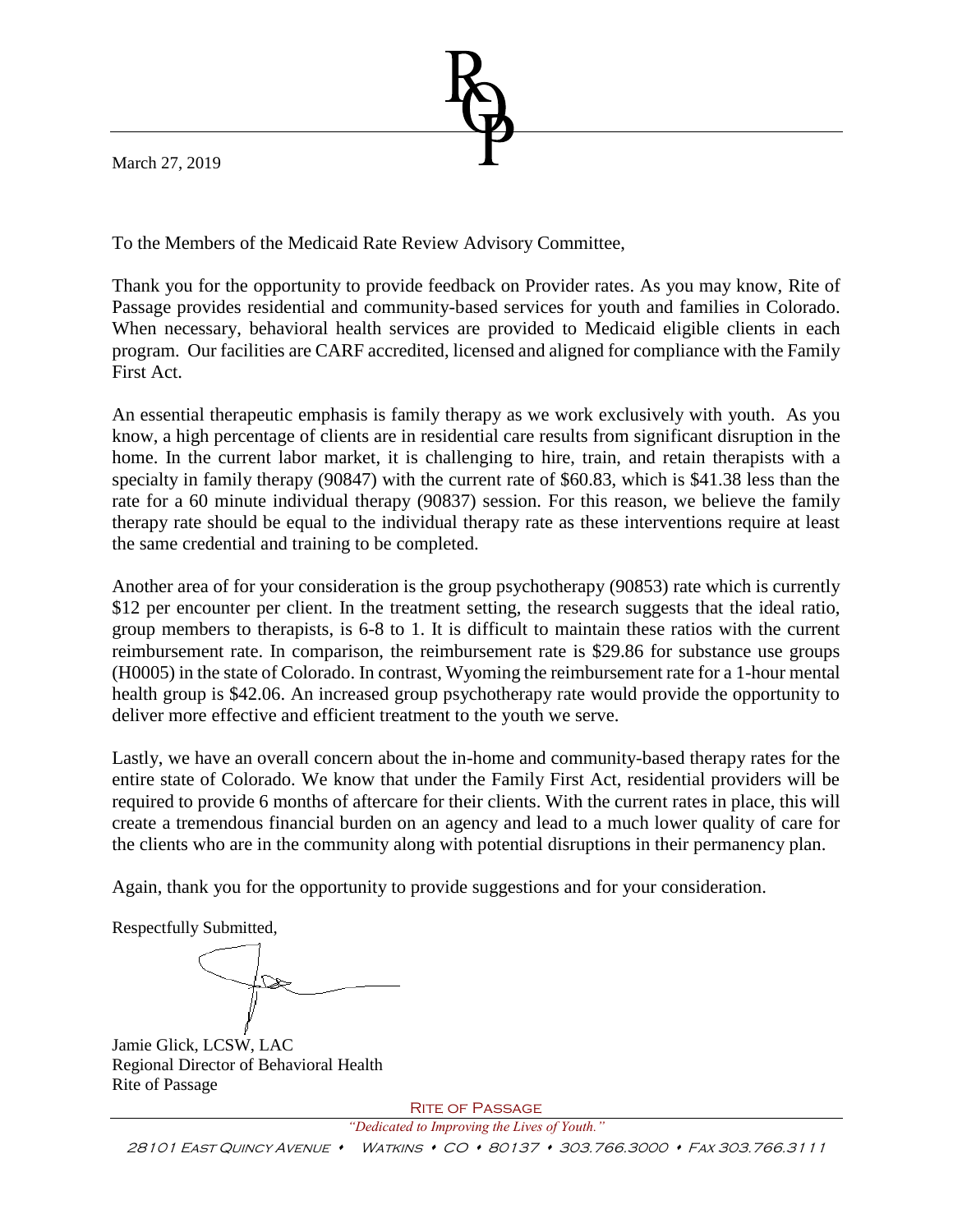March 27, 2019

To the Members of the Medicaid Rate Review Advisory Committee,

Thank you for the opportunity to provide feedback on Provider rates. As you may know, Rite of Passage provides residential and community-based services for youth and families in Colorado. When necessary, behavioral health services are provided to Medicaid eligible clients in each program. Our facilities are CARF accredited, licensed and aligned for compliance with the Family First Act.

An essential therapeutic emphasis is family therapy as we work exclusively with youth. As you know, a high percentage of clients are in residential care results from significant disruption in the home. In the current labor market, it is challenging to hire, train, and retain therapists with a specialty in family therapy (90847) with the current rate of \$60.83, which is \$41.38 less than the rate for a 60 minute individual therapy (90837) session. For this reason, we believe the family therapy rate should be equal to the individual therapy rate as these interventions require at least the same credential and training to be completed.

Another area of for your consideration is the group psychotherapy (90853) rate which is currently \$12 per encounter per client. In the treatment setting, the research suggests that the ideal ratio, group members to therapists, is 6-8 to 1. It is difficult to maintain these ratios with the current reimbursement rate. In comparison, the reimbursement rate is \$29.86 for substance use groups (H0005) in the state of Colorado. In contrast, Wyoming the reimbursement rate for a 1-hour mental health group is \$42.06. An increased group psychotherapy rate would provide the opportunity to deliver more effective and efficient treatment to the youth we serve.

Lastly, we have an overall concern about the in-home and community-based therapy rates for the entire state of Colorado. We know that under the Family First Act, residential providers will be required to provide 6 months of aftercare for their clients. With the current rates in place, this will create a tremendous financial burden on an agency and lead to a much lower quality of care for the clients who are in the community along with potential disruptions in their permanency plan.

Again, thank you for the opportunity to provide suggestions and for your consideration.

Respectfully Submitted,

Jamie Glick, LCSW, LAC Regional Director of Behavioral Health Rite of Passage

Rite of Passage